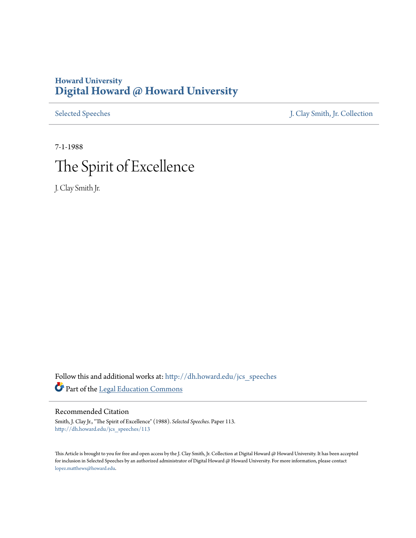## **Howard University [Digital Howard @ Howard University](http://dh.howard.edu?utm_source=dh.howard.edu%2Fjcs_speeches%2F113&utm_medium=PDF&utm_campaign=PDFCoverPages)**

[Selected Speeches](http://dh.howard.edu/jcs_speeches?utm_source=dh.howard.edu%2Fjcs_speeches%2F113&utm_medium=PDF&utm_campaign=PDFCoverPages) [J. Clay Smith, Jr. Collection](http://dh.howard.edu/jcsmith?utm_source=dh.howard.edu%2Fjcs_speeches%2F113&utm_medium=PDF&utm_campaign=PDFCoverPages)

7-1-1988 The Spirit of Excellence

J. Clay Smith Jr.

Follow this and additional works at: [http://dh.howard.edu/jcs\\_speeches](http://dh.howard.edu/jcs_speeches?utm_source=dh.howard.edu%2Fjcs_speeches%2F113&utm_medium=PDF&utm_campaign=PDFCoverPages) Part of the [Legal Education Commons](http://network.bepress.com/hgg/discipline/857?utm_source=dh.howard.edu%2Fjcs_speeches%2F113&utm_medium=PDF&utm_campaign=PDFCoverPages)

Recommended Citation

Smith, J. Clay Jr., "The Spirit of Excellence" (1988). *Selected Speeches.* Paper 113. [http://dh.howard.edu/jcs\\_speeches/113](http://dh.howard.edu/jcs_speeches/113?utm_source=dh.howard.edu%2Fjcs_speeches%2F113&utm_medium=PDF&utm_campaign=PDFCoverPages)

This Article is brought to you for free and open access by the J. Clay Smith, Jr. Collection at Digital Howard @ Howard University. It has been accepted for inclusion in Selected Speeches by an authorized administrator of Digital Howard @ Howard University. For more information, please contact [lopez.matthews@howard.edu.](mailto:lopez.matthews@howard.edu)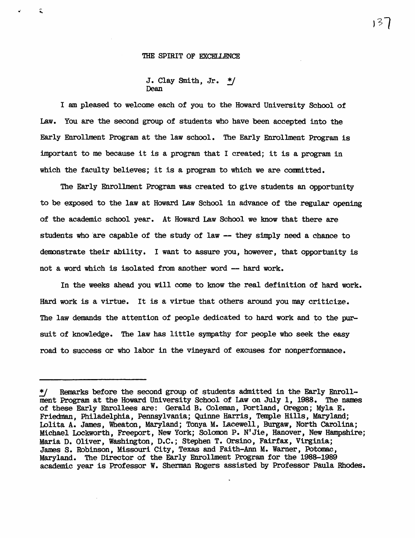## THE SPIRIT OF EXCELLENCE

 $\hat{\bullet}$ 

J. Clay Smith, Jr.  $*/$ Dean

I am pleased to welcome each of you to the Howard University School of Law. You are the second group of students who have been accepted into the Early Enrollment Program at the law school. The Early Enrollment Program is important to me because it is a program that I created; it is a program in which the faculty believes; it is a program to which we are committed.

The Early Enrollment Program was created to give students an opportunity to be exposed to the law at Howard Law School in advance of the regular opening of the academic school year. At Howard Law School we know that there are students who are capable of the study of law -- they simply need a chance to dennnstrate their ability. I want to assure you, however, that opportunity is not a word which is isolated from another word -- hard work.

In the weeks ahead you will come to know the real definition of hard work. Hard work is a virtue. It is a virtue that others around you may criticize. The law demands the attention of people dedicated to hard work and to the pursuit of knowledge. The law has little sympathy for people who seek the easy road to success or who labor in the vineyard of excuses for nonperformance.

ドット

<sup>\*/</sup> Remarks before the second group of students admitted in the Early Enrollment Program at the Howard University School of Law on July 1, 1988. The names of these Early Enrollees are: Gerald B. Coleman, Portland, Oregon; Myla E. Friedman, Philadelphia , Pennsylvania; Quinne Harris, Temple Hills, Maryland; lolita A. James, Wheaton, Maryland; Tonya M. Lacewell, Burgaw, North Carolina; Michael Lockworth, Freeport, New York; Solomon P. N'Jie, Hanover, New Hampshire; Maria D. Oliver, Washington, D.C.; Stephen T. Orsino, Fairfax, Virginia; James S. Robinson, Missouri City, Texas and Faith-Ann M. Warner, Potomac, Maryland. The Director of the Early Enrollment Program for the 1988-1989 academic year is Professor W. Sherman Rogers assisted by Professor Paula Rhodes.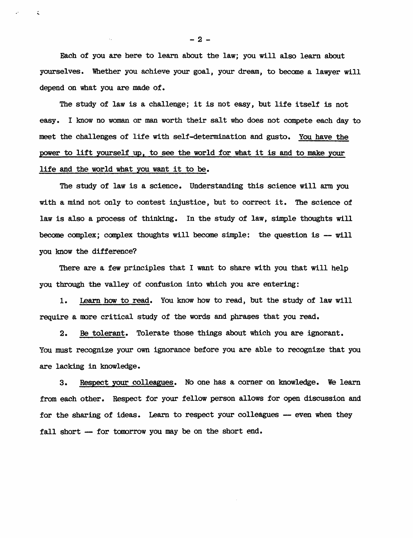Each of you are here to learn about the law; you will also learn about yourselves. Whether you achieve your goal, your dream, to become a lawyer will depend on what you are made of.

The study of law is a challenge; it is not easy, but life itself is not easy. I know no woman or man worth their salt who does not compete each day to meet the challenges of life with self-determination and gusto. You have the power to lift yourself up, to see the world for what it is and to make your life and the world what you want it to be.

The study of law is a science. Understanding this science will arm you with a mind not only to contest injustice, but to correct it. The science of law is also a process of thinking. In the study of law, simple thoughts will become complex; complex thoughts will become simple: the question is -- will you know the difference?

There are a few principles that I want to share with you that will help you through the valley of confusion into which you are entering:

1. Learn how to read. You know how to read, but the study of law will require a more critical study of the words and phrases that you read.

2. Be tolerant. Tolerate those things about which you are ignorant. You must recognize your own ignorance before you are able to recognize that you are lacking in knowledge.

3. Respect your colleagues. No one has a corner on knowledge. We learn from each other. Respect for your fellow person allows for open discussion and for the sharing of ideas. Learn to respect your colleagues -- even when they fall short - for tomorrow you may be on the short end.

-2-

 $\zeta$